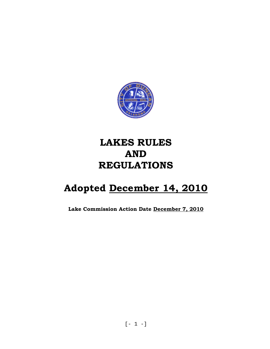

# **LAKES RULES AND REGULATIONS**

# **Adopted December 14, 2010**

**Lake Commission Action Date December 7, 2010**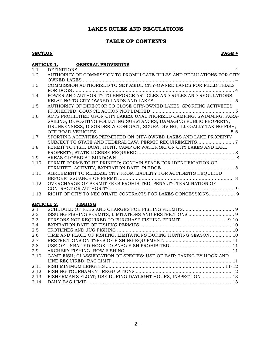# **LAKES RULES AND REGULATIONS**

### **TABLE OF CONTENTS**

#### **SECTION PAGE #**

| <b>ARTICLE 1.</b> | <b>GENERAL PROVISIONS</b>                                              |
|-------------------|------------------------------------------------------------------------|
| 1.1               |                                                                        |
| 1.2               | AUTHORITY OF COMMISSION TO PROMULGATE RULES AND REGULATIONS FOR CITY   |
|                   |                                                                        |
| 1.3               | COMMISSION AUTHORIZED TO SET ASIDE CITY-OWNED LANDS FOR FIELD TRIALS   |
|                   |                                                                        |
| 1.4               | POWER AND AUTHORITY TO ENFORCE ARTICLES AND RULES AND REGULATIONS      |
|                   |                                                                        |
| 1.5               | AUTHORITY OF DIRECTOR TO CLOSE CITY-OWNED LAKES, SPORTING ACTIVIITES   |
|                   |                                                                        |
| 1.6               | ACTS PROHIBITED UPON CITY LAKES: UNAUTHORIZED CAMPING, SWIMMING, PARA- |
|                   | SAILING; DEPOSITING POLLUTING SUBSTANCES; DAMAGING PUBLIC PROPERTY;    |
|                   | DRUNKENNESS; DISORDERLY CONDUCT; SCUBA DIVING; ILLEGALLY TAKING FISH;  |
|                   |                                                                        |
| 1.7               | SPORTING ACTIVITIES PERMITTED ON CITY-OWNED LAKES AND LAKE PROPERTY    |
|                   |                                                                        |
| 1.8               | PERMIT TO FISH, BOAT, HUNT, CAMP OR WATER SKI ON CITY LAKES AND LAKE   |
|                   |                                                                        |
| 1.9               |                                                                        |
| 1.10              | PERMIT FORMS TO BE PRINTED; CONTAIN SPACE FOR IDENTIFICATION OF        |
|                   |                                                                        |
| 1.11              | AGREEMENT TO RELEASE CITY FROM LIABILITY FOR ACCIDENTS REQUIRED        |
|                   |                                                                        |
| 1.12              | OVERCHARGE OF PERMIT FEES PROHIBITED; PENALTY; TERMINATION OF          |
|                   |                                                                        |
| 1.13              |                                                                        |
|                   |                                                                        |
|                   | <b>ARTICLE 2. FISHING</b>                                              |
| 2.1               |                                                                        |
| 2.2               |                                                                        |
| 2.3               |                                                                        |
| 2.4               |                                                                        |
| 2.5               |                                                                        |
| 2.6               | TIME AND PLACE OF FISHING, LIMITATIONS DURING HUNTING SEASON 10        |
| 2.7               |                                                                        |
| 2.8               |                                                                        |
| 2.9               |                                                                        |
| 2.10              | GAME FISH; CLASSIFICATION OF SPECIES; USE OF BAIT; TAKING BY HOOK AND  |
|                   |                                                                        |
| 2.11              |                                                                        |
| 2.12              |                                                                        |
| 2.13              | FISHERMAN'S FLOAT; USE DURING DAYLIGHT HOURS, INSPECTION  13           |
| 2.14              |                                                                        |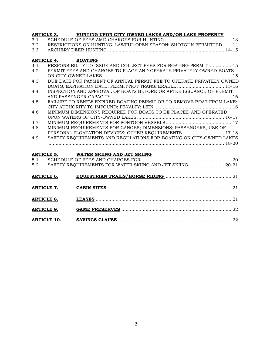| <b>ARTICLE 3.</b> |                    | HUNTING UPON CITY-OWNED LAKES AND/OR LAKE PROPERTY                   |
|-------------------|--------------------|----------------------------------------------------------------------|
| 3.1               |                    |                                                                      |
| 3.2               |                    | RESTRICTIONS ON HUNTING; LAWFUL OPEN SEASON; SHOTGUN PERMITTED 14    |
| 3.3               |                    |                                                                      |
| <b>ARTICLE 4.</b> |                    | <b>BOATING</b>                                                       |
| 4.1               |                    | RESPONSIBILITY TO ISSUE AND COLLECT FEES FOR BOATING PERMIT  15      |
| 4.2               |                    | PERMIT FEES AND CHARGES TO PLACE AND OPERATE PRIVATELY OWNED BOATS   |
|                   |                    |                                                                      |
| 4.3               |                    | DUE DATE FOR PAYMENT OF ANNUAL PERMIT FEE TO OPERATE PRIVATELY OWNED |
|                   |                    | BOATS; EXPIRATION DATE; PERMIT NOT TRANSFERABLE  15-16               |
| 4.4               |                    | INSPECTION AND APPROVAL OF BOATS BEFORE OR AFTER ISSUANCE OF PERMIT  |
|                   |                    |                                                                      |
| 4.5               |                    | FAILURE TO RENEW EXPIRED BOATING PERMIT OR TO REMOVE BOAT FROM LAKE; |
|                   |                    |                                                                      |
| 4.6               |                    | MINIMUM DIMENSIONS REQUIRED FOR BOATS TO BE PLACED AND OPERATED      |
|                   |                    |                                                                      |
| 4.7               |                    |                                                                      |
| 4.8               |                    | MINIMUM REQUIREMENTS FOR CANOES; DIMENSIONS; PASSENGERS, USE OF      |
|                   |                    | PERSONAL FLOATATION DEVICES; OTHER REQUIREMENTS  17-18               |
| 4.9               |                    | SAFETY REQUIREMENTS AND REGULATIONS FOR BOATING ON CITY-OWNED LAKES  |
|                   |                    | ARTICLE 5. WATER SKIING AND JET SKIING                               |
| 5.1               |                    |                                                                      |
| 5.2               |                    | SAFETY REQUIREMENTS FOR WATER SKIING AND JET SKIING 20-21            |
| <b>ARTICLE 6.</b> |                    |                                                                      |
| <b>ARTICLE 7.</b> |                    |                                                                      |
| <b>ARTICLE 8.</b> |                    |                                                                      |
| <b>ARTICLE 9.</b> |                    |                                                                      |
|                   | <b>ARTICLE 10.</b> |                                                                      |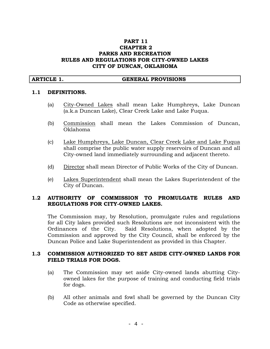#### **PART 11 CHAPTER 2 PARKS AND RECREATION RULES AND REGULATIONS FOR CITY-OWNED LAKES CITY OF DUNCAN, OKLAHOMA**

#### **ARTICLE 1. GENERAL PROVISIONS**

#### **1.1 DEFINITIONS.**

- (a) City-Owned Lakes shall mean Lake Humphreys, Lake Duncan (a.k.a Duncan Lake), Clear Creek Lake and Lake Fuqua.
- (b) Commission shall mean the Lakes Commission of Duncan, Oklahoma
- (c) Lake Humphreys, Lake Duncan, Clear Creek Lake and Lake Fuqua shall comprise the public water supply reservoirs of Duncan and all City-owned land immediately surrounding and adjacent thereto.
- (d) Director shall mean Director of Public Works of the City of Duncan.
- (e) Lakes Superintendent shall mean the Lakes Superintendent of the City of Duncan.

#### **1.2 AUTHORITY OF COMMISSION TO PROMULGATE RULES AND REGULATIONS FOR CITY-OWNED LAKES.**

The Commission may, by Resolution, promulgate rules and regulations for all City lakes provided such Resolutions are not inconsistent with the Ordinances of the City. Said Resolutions, when adopted by the Commission and approved by the City Council, shall be enforced by the Duncan Police and Lake Superintendent as provided in this Chapter.

#### **1.3 COMMISSION AUTHORIZED TO SET ASIDE CITY-OWNED LANDS FOR FIELD TRIALS FOR DOGS.**

- (a) The Commission may set aside City-owned lands abutting Cityowned lakes for the purpose of training and conducting field trials for dogs.
- (b) All other animals and fowl shall be governed by the Duncan City Code as otherwise specified.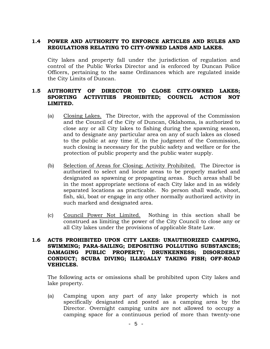#### **1.4 POWER AND AUTHORITY TO ENFORCE ARTICLES AND RULES AND REGULATIONS RELATING TO CITY-OWNED LANDS AND LAKES.**

City lakes and property fall under the jurisdiction of regulation and control of the Public Works Director and is enforced by Duncan Police Officers, pertaining to the same Ordinances which are regulated inside the City Limits of Duncan.

#### **1.5 AUTHORITY OF DIRECTOR TO CLOSE CITY-OWNED LAKES; SPORTING ACTIVITIES PROHIBITED; COUNCIL ACTION NOT LIMITED.**

- (a) Closing Lakes. The Director, with the approval of the Commission and the Council of the City of Duncan, Oklahoma, is authorized to close any or all City lakes to fishing during the spawning season, and to designate any particular area on any of such lakes as closed to the public at any time if, in the judgment of the Commission, such closing is necessary for the public safety and welfare or for the protection of public property and the public water supply.
- (b) Selection of Areas for Closing; Activity Prohibited. The Director is authorized to select and locate areas to be properly marked and designated as spawning or propagating areas. Such areas shall be in the most appropriate sections of each City lake and in as widely separated locations as practicable. No person shall wade, shoot, fish, ski, boat or engage in any other normally authorized activity in such marked and designated area.
- (c) Council Power Not Limited. Nothing in this section shall be construed as limiting the power of the City Council to close any or all City lakes under the provisions of applicable State Law.

#### **1.6 ACTS PROHIBITED UPON CITY LAKES: UNAUTHORIZED CAMPING, SWIMMING; PARA-SAILING; DEPOSITING POLLUTING SUBSTANCES; DAMAGING PUBLIC PROPERTY; DRUNKENNESS; DISORDERLY CONDUCT; SCUBA DIVING; ILLEGALLY TAKING FISH; OFF-ROAD VEHICLES.**

The following acts or omissions shall be prohibited upon City lakes and lake property.

(a) Camping upon any part of any lake property which is not specifically designated and posted as a camping area by the Director. Overnight camping units are not allowed to occupy a camping space for a continuous period of more than twenty-one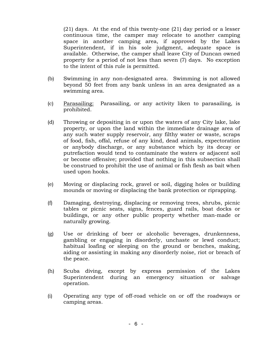(21) days. At the end of this twenty-one (21) day period or a lesser continuous time, the camper may relocate to another camping space in another camping area, if approved by the Lakes Superintendent, if in his sole judgment, adequate space is available. Otherwise, the camper shall leave City of Duncan owned property for a period of not less than seven (7) days. No exception to the intent of this rule is permitted.

- (b) Swimming in any non-designated area. Swimming is not allowed beyond 50 feet from any bank unless in an area designated as a swimming area.
- (c) Parasailing: Parasailing, or any activity liken to parasailing, is prohibited.
- (d) Throwing or depositing in or upon the waters of any City lake, lake property, or upon the land within the immediate drainage area of any such water supply reservoir, any filthy water or waste, scraps of food, fish, offal, refuse of any kind, dead animals, expectoration or anybody discharge, or any substance which by its decay or putrefaction would tend to contaminate the waters or adjacent soil or become offensive; provided that nothing in this subsection shall be construed to prohibit the use of animal or fish flesh as bait when used upon hooks.
- (e) Moving or displacing rock, gravel or soil, digging holes or building mounds or moving or displacing the bank protection or riprapping.
- (f) Damaging, destroying, displacing or removing trees, shrubs, picnic tables or picnic seats, signs, fences, guard rails, boat docks or buildings, or any other public property whether man-made or naturally growing.
- (g) Use or drinking of beer or alcoholic beverages, drunkenness, gambling or engaging in disorderly, unchaste or lewd conduct; habitual loafing or sleeping on the ground or benches, making, aiding or assisting in making any disorderly noise, riot or breach of the peace.
- (h) Scuba diving, except by express permission of the Lakes Superintendent during an emergency situation or salvage operation.
- (i) Operating any type of off-road vehicle on or off the roadways or camping areas.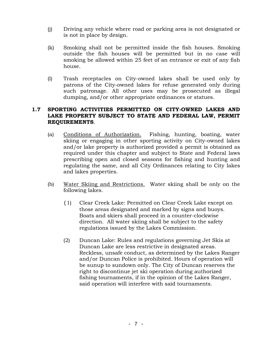- (j) Driving any vehicle where road or parking area is not designated or is not in place by design.
- (k) Smoking shall not be permitted inside the fish houses. Smoking outside the fish houses will be permitted but in no case will smoking be allowed within 25 feet of an entrance or exit of any fish house.
- (l) Trash receptacles on City-owned lakes shall be used only by patrons of the City-owned lakes for refuse generated only during such patronage. All other uses may be prosecuted as illegal dumping, and/or other appropriate ordinances or statues.

#### **1.7 SPORTING ACTIVITIES PERMITTED ON CITY-OWNED LAKES AND LAKE PROPERTY SUBJECT TO STATE AND FEDERAL LAW, PERMIT REQUIREMENTS**.

- (a) Conditions of Authorization. Fishing, hunting, boating, water skiing or engaging in other sporting activity on City-owned lakes and/or lake property is authorized provided a permit is obtained as required under this chapter and subject to State and Federal laws prescribing open and closed seasons for fishing and hunting and regulating the same, and all City Ordinances relating to City lakes and lakes properties.
- (b) Water Skiing and Restrictions. Water skiing shall be only on the following lakes.
	- (1) Clear Creek Lake: Permitted on Clear Creek Lake except on those areas designated and marked by signs and buoys. Boats and skiers shall proceed in a counter-clockwise direction. All water skiing shall be subject to the safety regulations issued by the Lakes Commission.
	- (2) Duncan Lake: Rules and regulations governing Jet Skis at Duncan Lake are less restrictive in designated areas. Reckless, unsafe conduct, as determined by the Lakes Ranger and/or Duncan Police is prohibited. Hours of operation will be sunup to sundown only. The City of Duncan reserves the right to discontinue jet ski operation during authorized fishing tournaments, if in the opinion of the Lakes Ranger, said operation will interfere with said tournaments.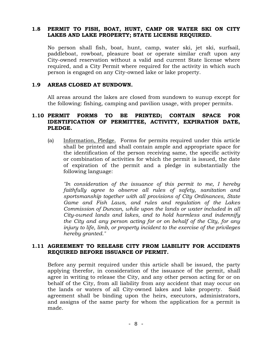#### **1.8 PERMIT TO FISH, BOAT, HUNT, CAMP OR WATER SKI ON CITY LAKES AND LAKE PROPERTY; STATE LICENSE REQUIRED.**

No person shall fish, boat, hunt, camp, water ski, jet ski, surfsail, paddleboat, rowboat, pleasure boat or operate similar craft upon any City-owned reservation without a valid and current State license where required, and a City Permit where required for the activity in which such person is engaged on any City-owned lake or lake property.

#### **1.9 AREAS CLOSED AT SUNDOWN.**

All areas around the lakes are closed from sundown to sunup except for the following: fishing, camping and pavilion usage, with proper permits.

### **1.10 PERMIT FORMS TO BE PRINTED; CONTAIN SPACE FOR IDENTIFICATION OF PERMITTEE, ACTIVITY, EXPIRATION DATE, PLEDGE.**

(a) Information, Pledge. Forms for permits required under this article shall be printed and shall contain ample and appropriate space for the identification of the person receiving same, the specific activity or combination of activities for which the permit is issued, the date of expiration of the permit and a pledge in substantially the following language:

*"In consideration of the issuance of this permit to me, I hereby faithfully agree to observe all rules of safety, sanitation and sportsmanship together with all provisions of City Ordinances, State Game and Fish Laws, and rules and regulation of the Lakes Commission of Duncan, while upon the lands or water included in all City-owned lands and lakes, and to hold harmless and indemnify the City and any person acting for or on behalf of the City, for any injury to life, limb, or property incident to the exercise of the privileges hereby granted."*

#### **1.11 AGREEMENT TO RELEASE CITY FROM LIABILITY FOR ACCIDENTS REQUIRED BEFORE ISSUANCE OF PERMIT.**

Before any permit required under this article shall be issued, the party applying therefor, in consideration of the issuance of the permit, shall agree in writing to release the City, and any other person acting for or on behalf of the City, from all liability from any accident that may occur on the lands or waters of all City-owned lakes and lake property. Said agreement shall be binding upon the heirs, executors, administrators, and assigns of the same party for whom the application for a permit is made.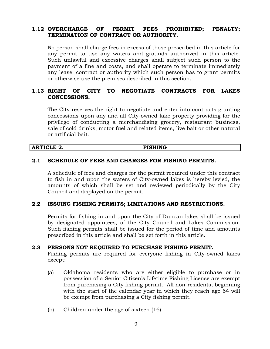### **1.12 OVERCHARGE OF PERMIT FEES PROHIBITED; PENALTY; TERMINATION OF CONTRACT OR AUTHORITY.**

No person shall charge fees in excess of those prescribed in this article for any permit to use any waters and grounds authorized in this article. Such unlawful and excessive charges shall subject such person to the payment of a fine and costs, and shall operate to terminate immediately any lease, contract or authority which such person has to grant permits or otherwise use the premises described in this section.

### **1.13 RIGHT OF CITY TO NEGOTIATE CONTRACTS FOR LAKES CONCESSIONS.**

The City reserves the right to negotiate and enter into contracts granting concessions upon any and all City-owned lake property providing for the privilege of conducting a merchandising grocery, restaurant business, sale of cold drinks, motor fuel and related items, live bait or other natural or artificial bait.

#### **ARTICLE 2. FISHING**

#### **2.1 SCHEDULE OF FEES AND CHARGES FOR FISHING PERMITS.**

A schedule of fees and charges for the permit required under this contract to fish in and upon the waters of City-owned lakes is hereby levied, the amounts of which shall be set and reviewed periodically by the City Council and displayed on the permit.

#### **2.2 ISSUING FISHING PERMITS; LIMITATIONS AND RESTRICTIONS.**

Permits for fishing in and upon the City of Duncan lakes shall be issued by designated appointees, of the City Council and Lakes Commission. Such fishing permits shall be issued for the period of time and amounts prescribed in this article and shall be set forth in this article.

#### **2.3 PERSONS NOT REQUIRED TO PURCHASE FISHING PERMIT.**

Fishing permits are required for everyone fishing in City-owned lakes except:

- (a) Oklahoma residents who are either eligible to purchase or in possession of a Senior Citizen's Lifetime Fishing License are exempt from purchasing a City fishing permit. All non-residents, beginning with the start of the calendar year in which they reach age 64 will be exempt from purchasing a City fishing permit.
- (b) Children under the age of sixteen (16).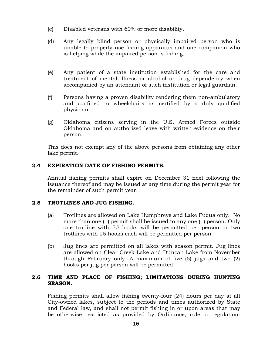- (c) Disabled veterans with 60% or more disability.
- (d) Any legally blind person or physically impaired person who is unable to properly use fishing apparatus and one companion who is helping while the impaired person is fishing.
- (e) Any patient of a state institution established for the care and treatment of mental illness or alcohol or drug dependency when accompanied by an attendant of such institution or legal guardian.
- (f) Persons having a proven disability rendering them non-ambulatory and confined to wheelchairs as certified by a duly qualified physician.
- (g) Oklahoma citizens serving in the U.S. Armed Forces outside Oklahoma and on authorized leave with written evidence on their person.

This does not exempt any of the above persons from obtaining any other lake permit.

### **2.4 EXPIRATION DATE OF FISHING PERMITS.**

Annual fishing permits shall expire on December 31 next following the issuance thereof and may be issued at any time during the permit year for the remainder of such permit year.

#### **2.5 TROTLINES AND JUG FISHING.**

- (a) Trotlines are allowed on Lake Humphreys and Lake Fuqua only. No more than one (1) permit shall be issued to any one (1) person. Only one trotline with 50 hooks will be permitted per person or two trotlines with 25 hooks each will be permitted per person.
- (b) Jug lines are permitted on all lakes with season permit. Jug lines are allowed on Clear Creek Lake and Duncan Lake from November through February only. A maximum of five (5) jugs and two (2) hooks per jug per person will be permitted.

### **2.6 TIME AND PLACE OF FISHING; LIMITATIONS DURING HUNTING SEASON.**

Fishing permits shall allow fishing twenty-four (24) hours per day at all City-owned lakes, subject to the periods and times authorized by State and Federal law, and shall not permit fishing in or upon areas that may be otherwise restricted as provided by Ordinance, rule or regulation.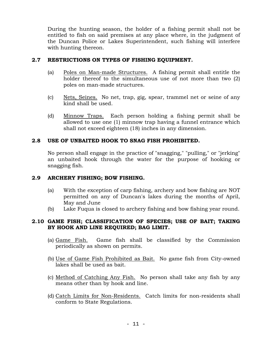During the hunting season, the holder of a fishing permit shall not be entitled to fish on said premises at any place where, in the judgment of the Duncan Police or Lakes Superintendent, such fishing will interfere with hunting thereon.

# **2.7 RESTRICTIONS ON TYPES OF FISHING EQUIPMENT.**

- (a) Poles on Man-made Structures. A fishing permit shall entitle the holder thereof to the simultaneous use of not more than two (2) poles on man-made structures.
- (c) <u>Nets, Seines.</u> No net, trap, gig, spear, trammel net or seine of any kind shall be used.
- (d) Minnow Traps. Each person holding a fishing permit shall be allowed to use one (1) minnow trap having a funnel entrance which shall not exceed eighteen (18) inches in any dimension.

# **2.8 USE OF UNBAITED HOOK TO SNAG FISH PROHIBITED.**

No person shall engage in the practice of "snagging," "pulling," or "jerking" an unbaited hook through the water for the purpose of hooking or snagging fish.

# **2.9 ARCHERY FISHING; BOW FISHING.**

- (a) With the exception of carp fishing, archery and bow fishing are NOT permitted on any of Duncan's lakes during the months of April, May and June
- (b) Lake Fuqua is closed to archery fishing and bow fishing year round.

# **2.10 GAME FISH; CLASSIFICATION OF SPECIES; USE OF BAIT; TAKING BY HOOK AND LINE REQUIRED; BAG LIMIT.**

- (a) Game Fish. Game fish shall be classified by the Commission periodically as shown on permits.
- (b) Use of Game Fish Prohibited as Bait. No game fish from City-owned lakes shall be used as bait.
- (c) Method of Catching Any Fish. No person shall take any fish by any means other than by hook and line.
- (d) Catch Limits for Non-Residents. Catch limits for non-residents shall conform to State Regulations.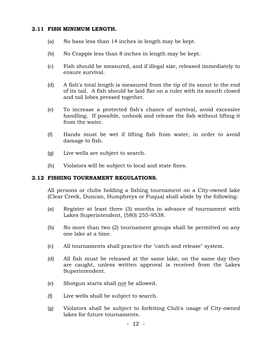#### **2.11 FISH MINIMUM LENGTH.**

- (a) No bass less than 14 inches in length may be kept.
- (b) No Crappie less than 8 inches in length may be kept.
- (c) Fish should be measured, and if illegal size, released immediately to ensure survival.
- (d) A fish's total length is measured from the tip of its snout to the end of its tail. A fish should be laid flat on a ruler with its mouth closed and tail lobes pressed together.
- (e) To increase a protected fish's chance of survival, avoid excessive handling. If possible, unhook and release the fish without lifting it from the water.
- (f) Hands must be wet if lifting fish from water, in order to avoid damage to fish.
- (g) Live wells are subject to search.
- (h) Violators will be subject to local and state fines.

#### **2.12 FISHING TOURNAMENT REGULATIONS.**

All persons or clubs holding a fishing tournament on a City-owned lake (Clear Creek, Duncan, Humphreys or Fuqua) shall abide by the following:

- (a) Register at least three (3) months in advance of tournament with Lakes Superintendent, (580) 255-9538.
- (b) No more than two (2) tournament groups shall be permitted on any one lake at a time.
- (c) All tournaments shall practice the "catch and release" system.
- (d) All fish must be released at the same lake, on the same day they are caught, unless written approval is received from the Lakes Superintendent.
- (e) Shotgun starts shall not be allowed.
- (f) Live wells shall be subject to search.
- (g) Violators shall be subject to forfeiting Club's usage of City-owned lakes for future tournaments.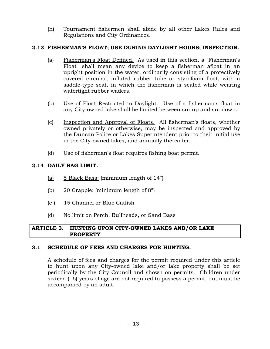(h) Tournament fishermen shall abide by all other Lakes Rules and Regulations and City Ordinances.

# **2.13 FISHERMAN'S FLOAT; USE DURING DAYLIGHT HOURS; INSPECTION.**

- (a) Fisherman's Float Defined. As used in this section, a "Fisherman's Float" shall mean any device to keep a fisherman afloat in an upright position in the water, ordinarily consisting of a protectively covered circular, inflated rubber tube or styrofoam float, with a saddle-type seat, in which the fisherman is seated while wearing watertight rubber waders.
- (b) Use of Float Restricted to Daylight. Use of a fisherman's float in any City-owned lake shall be limited between sunup and sundown.
- (c) Inspection and Approval of Floats. All fisherman's floats, whether owned privately or otherwise, may be inspected and approved by the Duncan Police or Lakes Superintendent prior to their initial use in the City-owned lakes, and annually thereafter.
- (d) Use of fisherman's float requires fishing boat permit.

# **2.14 DAILY BAG LIMIT.**

- (a) 5 Black Bass: (minimum length of 14")
- (b) 20 Crappie: (minimum length of 8")
- (c ) 15 Channel or Blue Catfish
- (d) No limit on Perch, Bullheads, or Sand Bass

#### **ARTICLE 3. HUNTING UPON CITY-OWNED LAKES AND/OR LAKE PROPERTY**

#### **3.1 SCHEDULE OF FEES AND CHARGES FOR HUNTING.**

A schedule of fees and charges for the permit required under this article to hunt upon any City-owned lake and/or lake property shall be set periodically by the City Council and shown on permits. Children under sixteen (16) years of age are not required to possess a permit, but must be accompanied by an adult.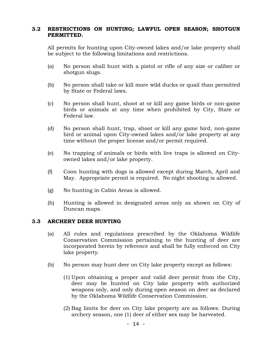### **3.2 RESTRICTIONS ON HUNTING; LAWFUL OPEN SEASON; SHOTGUN PERMITTED.**

All permits for hunting upon City-owned lakes and/or lake property shall be subject to the following limitations and restrictions.

- (a) No person shall hunt with a pistol or rifle of any size or caliber or shotgun slugs.
- (b) No person shall take or kill more wild ducks or quail than permitted by State or Federal laws.
- (c) No person shall hunt, shoot at or kill any game birds or non-game birds or animals at any time when prohibited by City, State or Federal law.
- (d) No person shall hunt, trap, shoot or kill any game bird, non-game bird or animal upon City-owned lakes and/or lake property at any time without the proper license and/or permit required.
- (e) No trapping of animals or birds with live traps is allowed on Cityowned lakes and/or lake property.
- (f) Coon hunting with dogs is allowed except during March, April and May. Appropriate permit is required. No night shooting is allowed.
- (g) No hunting in Cabin Areas is allowed.
- (h) Hunting is allowed in designated areas only as shown on City of Duncan maps.

#### **3.3 ARCHERY DEER HUNTING**

- (a) All rules and regulations prescribed by the Oklahoma Wildlife Conservation Commission pertaining to the hunting of deer are incorporated herein by reference and shall be fully enforced on City lake property.
- (b) No person may hunt deer on City lake property except as follows:
	- (1) Upon obtaining a proper and valid deer permit from the City, deer may be hunted on City lake property with authorized weapons only, and only during open season on deer as declared by the Oklahoma Wildlife Conservation Commission.
	- (2) Bag limits for deer on City lake property are as follows: During archery season, one (1) deer of either sex may be harvested.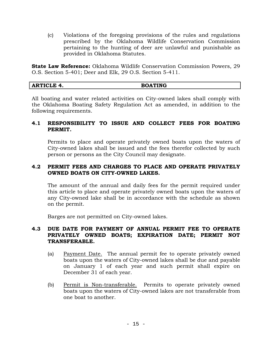(c) Violations of the foregoing provisions of the rules and regulations prescribed by the Oklahoma Wildlife Conservation Commission pertaining to the hunting of deer are unlawful and punishable as provided in Oklahoma Statutes.

**State Law Reference:** Oklahoma Wildlife Conservation Commission Powers, 29 O.S. Section 5-401; Deer and Elk, 29 O.S. Section 5-411.

| <b>RTICLE</b><br>- -<br>Ar | <b>BOATING</b> |
|----------------------------|----------------|
|                            |                |

All boating and water related activities on City-owned lakes shall comply with the Oklahoma Boating Safety Regulation Act as amended, in addition to the following requirements.

### **4.1 RESPONSIBILITY TO ISSUE AND COLLECT FEES FOR BOATING PERMIT.**

Permits to place and operate privately owned boats upon the waters of City-owned lakes shall be issued and the fees therefor collected by such person or persons as the City Council may designate.

#### **4.2 PERMIT FEES AND CHARGES TO PLACE AND OPERATE PRIVATELY OWNED BOATS ON CITY-OWNED LAKES.**

The amount of the annual and daily fees for the permit required under this article to place and operate privately owned boats upon the waters of any City-owned lake shall be in accordance with the schedule as shown on the permit.

Barges are not permitted on City-owned lakes.

#### **4.3 DUE DATE FOR PAYMENT OF ANNUAL PERMIT FEE TO OPERATE PRIVATELY OWNED BOATS; EXPIRATION DATE; PERMIT NOT TRANSFERABLE.**

- (a) Payment Date. The annual permit fee to operate privately owned boats upon the waters of City-owned lakes shall be due and payable on January 1 of each year and such permit shall expire on December 31 of each year.
- (b) Permit is Non-transferable. Permits to operate privately owned boats upon the waters of City-owned lakes are not transferable from one boat to another.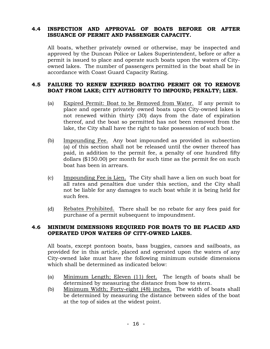### **4.4 INSPECTION AND APPROVAL OF BOATS BEFORE OR AFTER ISSUANCE OF PERMIT AND PASSENGER CAPACITY.**

All boats, whether privately owned or otherwise, may be inspected and approved by the Duncan Police or Lakes Superintendent, before or after a permit is issued to place and operate such boats upon the waters of Cityowned lakes. The number of passengers permitted in the boat shall be in accordance with Coast Guard Capacity Rating.

#### **4.5 FAILURE TO RENEW EXPIRED BOATING PERMIT OR TO REMOVE BOAT FROM LAKE; CITY AUTHORITY TO IMPOUND; PENALTY; LIEN.**

- (a) Expired Permit: Boat to be Removed from Water. If any permit to place and operate privately owned boats upon City-owned lakes is not renewed within thirty (30) days from the date of expiration thereof, and the boat so permitted has not been removed from the lake, the City shall have the right to take possession of such boat.
- (b) Impounding Fee. Any boat impounded as provided in subsection (a) of this section shall not be released until the owner thereof has paid, in addition to the permit fee, a penalty of one hundred fifty dollars (\$150.00) per month for such time as the permit fee on such boat has been in arrears.
- (c) Impounding Fee is Lien. The City shall have a lien on such boat for all rates and penalties due under this section, and the City shall not be liable for any damages to such boat while it is being held for such fees.
- (d) Rebates Prohibited. There shall be no rebate for any fees paid for purchase of a permit subsequent to impoundment.

### **4.6 MINIMUM DIMENSIONS REQUIRED FOR BOATS TO BE PLACED AND OPERATED UPON WATERS OF CITY-OWNED LAKES.**

All boats, except pontoon boats, bass buggies, canoes and sailboats, as provided for in this article, placed and operated upon the waters of any City-owned lake must have the following minimum outside dimensions which shall be determined as indicated below:

- (a) Minimum Length; Eleven (11) feet. The length of boats shall be determined by measuring the distance from bow to stern.
- (b) Minimum Width; Forty-eight (48) inches. The width of boats shall be determined by measuring the distance between sides of the boat at the top of sides at the widest point.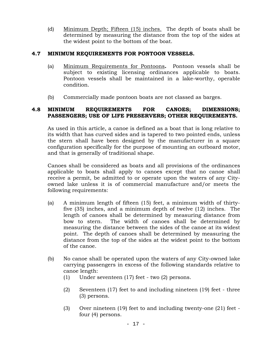(d) Minimum Depth; Fifteen (15) inches. The depth of boats shall be determined by measuring the distance from the top of the sides at the widest point to the bottom of the boat.

### **4.7 MINIMUM REQUIREMENTS FOR PONTOON VESSELS.**

- (a) Minimum Requirements for Pontoons**.** Pontoon vessels shall be subject to existing licensing ordinances applicable to boats. Pontoon vessels shall be maintained in a lake-worthy, operable condition.
- (b) Commercially made pontoon boats are not classed as barges.

### **4.8 MINIMUM REQUIREMENTS FOR CANOES; DIMENSIONS; PASSENGERS; USE OF LIFE PRESERVERS; OTHER REQUIREMENTS.**

As used in this article, a canoe is defined as a boat that is long relative to its width that has curved sides and is tapered to two pointed ends, unless the stern shall have been designed by the manufacturer in a square configuration specifically for the purpose of mounting an outboard motor, and that is generally of traditional shape.

Canoes shall be considered as boats and all provisions of the ordinances applicable to boats shall apply to canoes except that no canoe shall receive a permit, be admitted to or operate upon the waters of any Cityowned lake unless it is of commercial manufacture and/or meets the following requirements:

- (a) A minimum length of fifteen (15) feet, a minimum width of thirtyfive (35) inches, and a minimum depth of twelve (12) inches. The length of canoes shall be determined by measuring distance from bow to stern. The width of canoes shall be determined by measuring the distance between the sides of the canoe at its widest point. The depth of canoes shall be determined by measuring the distance from the top of the sides at the widest point to the bottom of the canoe.
- (b) No canoe shall be operated upon the waters of any City-owned lake carrying passengers in excess of the following standards relative to canoe length:
	- (1) Under seventeen (17) feet two (2) persons.
	- (2) Seventeen (17) feet to and including nineteen (19) feet three (3) persons.
	- (3) Over nineteen (19) feet to and including twenty-one (21) feet four (4) persons.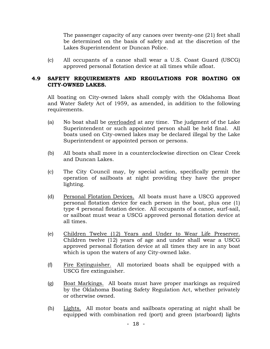The passenger capacity of any canoes over twenty-one (21) feet shall be determined on the basis of safety and at the discretion of the Lakes Superintendent or Duncan Police.

(c) All occupants of a canoe shall wear a U.S. Coast Guard (USCG) approved personal flotation device at all times while afloat.

#### **4.9 SAFETY REQUIREMENTS AND REGULATIONS FOR BOATING ON CITY-OWNED LAKES.**

All boating on City-owned lakes shall comply with the Oklahoma Boat and Water Safety Act of 1959, as amended, in addition to the following requirements.

- (a) No boat shall be overloaded at any time. The judgment of the Lake Superintendent or such appointed person shall be held final. All boats used on City-owned lakes may be declared illegal by the Lake Superintendent or appointed person or persons.
- (b) All boats shall move in a counterclockwise direction on Clear Creek and Duncan Lakes.
- (c) The City Council may, by special action, specifically permit the operation of sailboats at night providing they have the proper lighting.
- (d) Personal Flotation Devices. All boats must have a USCG approved personal flotation device for each person in the boat, plus one (1) type 4 personal flotation device. All occupants of a canoe, surf-sail, or sailboat must wear a USCG approved personal flotation device at all times.
- (e) Children Twelve (12) Years and Under to Wear Life Preserver. Children twelve (12) years of age and under shall wear a USCG approved personal flotation device at all times they are in any boat which is upon the waters of any City-owned lake.
- (f) Fire Extinguisher. All motorized boats shall be equipped with a USCG fire extinguisher.
- (g) Boat Markings. All boats must have proper markings as required by the Oklahoma Boating Safety Regulation Act, whether privately or otherwise owned.
- (h) Lights. All motor boats and sailboats operating at night shall be equipped with combination red (port) and green (starboard) lights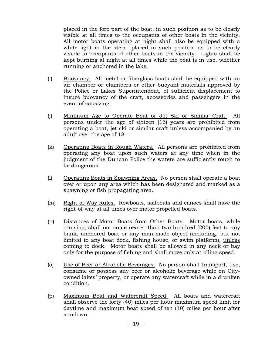placed in the fore part of the boat, in such position as to be clearly visible at all times to the occupants of other boats in the vicinity. All motor boats operating at night shall also be equipped with a white light in the stern, placed in such position as to be clearly visible to occupants of other boats in the vicinity. Lights shall be kept burning at night at all times while the boat is in use, whether running or anchored in the lake.

- (i) Buoyancy. All metal or fiberglass boats shall be equipped with an air chamber or chambers or other buoyant materials approved by the Police or Lakes Superintendent, of sufficient displacement to insure buoyancy of the craft, accessories and passengers in the event of capsizing.
- (j) Minimum Age to Operate Boat or Jet Ski or Similar Craft. All persons under the age of sixteen (16) years are prohibited from operating a boat, jet ski or similar craft unless accompanied by an adult over the age of 18
- (k) Operating Boats in Rough Waters. All persons are prohibited from operating any boat upon such waters at any time when in the judgment of the Duncan Police the waters are sufficiently rough to be dangerous.
- (l) Operating Boats in Spawning Areas. No person shall operate a boat over or upon any area which has been designated and marked as a spawning or fish propagating area.
- (m) Right-of-Way Rules. Rowboats, sailboats and canoes shall have the right-of-way at all times over motor propelled boats.
- (n) Distances of Motor Boats from Other Boats. Motor boats, while cruising, shall not come nearer than two hundred (200) feet to any bank, anchored boat or any man-made object (including, but not limited to any boat dock, fishing house, or swim platform), unless coming to dock. Motor boats shall be allowed in any neck or bay only for the purpose of fishing and shall move only at idling speed.
- (o) Use of Beer or Alcoholic Beverages. No person shall transport, use, consume or possess any beer or alcoholic beverage while on Cityowned lakes' property, or operate any watercraft while in a drunken condition.
- (p) Maximum Boat and Watercraft Speed. All boats and watercraft shall observe the forty (40) miles per hour maximum speed limit for daytime and maximum boat speed of ten (10) miles per hour after sundown.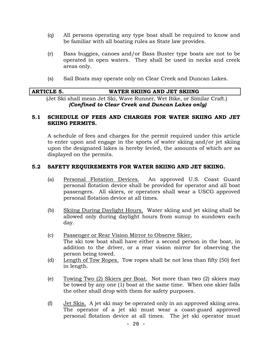- (q) All persons operating any type boat shall be required to know and be familiar with all boating rules as State law provides.
- (r) Bass buggies, canoes and/or Bass Buster type boats are not to be operated in open waters. They shall be used in necks and creek areas only.
- (s) Sail Boats may operate only on Clear Creek and Duncan Lakes.

| <b>ARTICLE 5.</b> | WATER SKIING AND JET SKIING |
|-------------------|-----------------------------|
|                   |                             |

(Jet Ski shall mean Jet Ski, Wave Runner, Wet Bike, or Similar Craft.) *(Confined to Clear Creek and Duncan Lakes only)*

#### **5.1 SCHEDULE OF FEES AND CHARGES FOR WATER SKIING AND JET SKIING PERMITS.**

A schedule of fees and charges for the permit required under this article to enter upon and engage in the sports of water skiing and/or jet skiing upon the designated lakes is hereby levied, the amounts of which are as displayed on the permits.

### **5.2 SAFETY REQUIREMENTS FOR WATER SKIING AND JET SKIING.**

- (a) Personal Flotation Devices. An approved U.S. Coast Guard personal flotation device shall be provided for operator and all boat passengers. All skiers, or operators shall wear a USCG approved personal flotation device at all times.
- (b) Skiing During Daylight Hours. Water skiing and jet skiing shall be allowed only during daylight hours from sunup to sundown each day.
- (c) Passenger or Rear Vision Mirror to Observe Skier. The ski tow boat shall have either a second person in the boat, in addition to the driver, or a rear vision mirror for observing the person being towed.
- (d) Length of Tow Ropes. Tow ropes shall be not less than fifty (50) feet in length.
- (e) Towing Two (2) Skiers per Boat. Not more than two (2) skiers may be towed by any one (1) boat at the same time. When one skier falls the other shall drop with them for safety purposes.
- (f) Jet Skis. A jet ski may be operated only in an approved skiing area. The operator of a jet ski must wear a coast-guard approved personal flotation device at all times. The jet ski operator must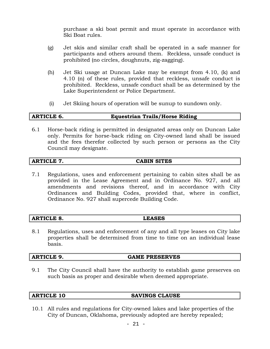purchase a ski boat permit and must operate in accordance with Ski Boat rules.

- (g) Jet skis and similar craft shall be operated in a safe manner for participants and others around them. Reckless, unsafe conduct is prohibited (no circles, doughnuts, zig-zagging).
- (h) Jet Ski usage at Duncan Lake may be exempt from 4.10, (k) and 4.10 (n) of these rules, provided that reckless, unsafe conduct is prohibited. Reckless, unsafe conduct shall be as determined by the Lake Superintendent or Police Department.
- (i) Jet Skiing hours of operation will be sunup to sundown only.

#### **ARTICLE 6. Equestrian Trails/Horse Riding**

6.1 Horse-back riding is permitted in designated areas only on Duncan Lake only. Permits for horse-back riding on City-owned land shall be issued and the fees therefor collected by such person or persons as the City Council may designate.

#### **ARTICLE 7. CABIN SITES**

7.1 Regulations, uses and enforcement pertaining to cabin sites shall be as provided in the Lease Agreement and in Ordinance No. 927, and all amendments and revisions thereof, and in accordance with City Ordinances and Building Codes, provided that, where in conflict, Ordinance No. 927 shall supercede Building Code.

# **ARTICLE 8. LEASES**

8.1 Regulations, uses and enforcement of any and all type leases on City lake properties shall be determined from time to time on an individual lease basis.

#### **ARTICLE 9. GAME PRESERVES**

9.1 The City Council shall have the authority to establish game preserves on such basis as proper and desirable when deemed appropriate.

#### **ARTICLE 10 SAVINGS CLAUSE**

10.1 All rules and regulations for City-owned lakes and lake properties of the City of Duncan, Oklahoma, previously adopted are hereby repealed;